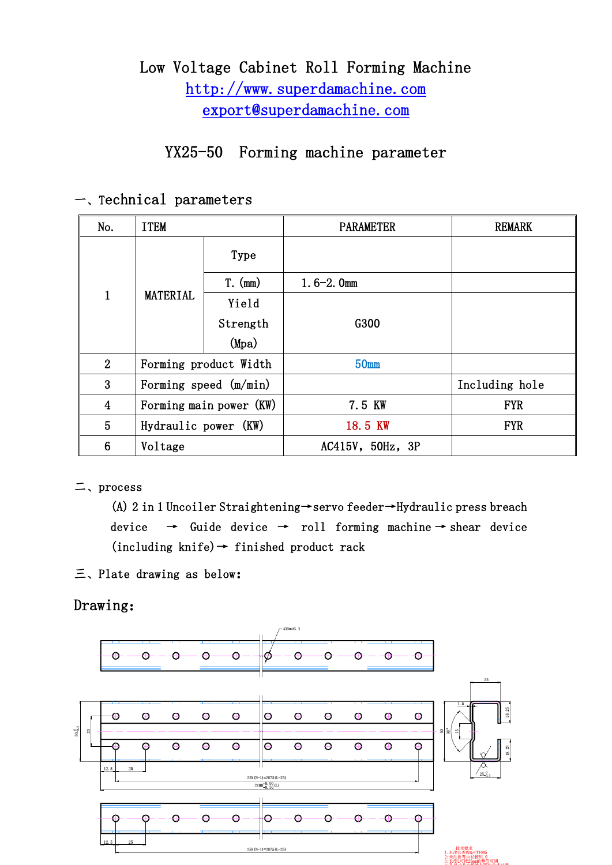# Low Voltage Cabinet Roll Forming Machine http://www.superdamachine.com export@superdamachine.com

# YX25-50 Forming machine parameter

| No.            | <b>ITEM</b>             |           | <b>PARAMETER</b> | <b>REMARK</b>  |
|----------------|-------------------------|-----------|------------------|----------------|
| $\mathbf{1}$   | <b>MATERIAL</b>         | Type      |                  |                |
|                |                         | $T.$ (mm) | $1.6 - 2.0$ mm   |                |
|                |                         | Yield     |                  |                |
|                |                         | Strength  | G300             |                |
|                |                         | (Mpa)     |                  |                |
| $2^{\circ}$    | Forming product Width   |           | 50mm             |                |
| 3              | Forming speed (m/min)   |           |                  | Including hole |
| $\overline{4}$ | Forming main power (KW) |           | 7.5 KW           | <b>FYR</b>     |
| 5              | Hydraulic power (KW)    |           | 18.5 KW          | <b>FYR</b>     |
| 6              | Voltage                 |           | AC415V, 50Hz, 3P |                |

# 一、Technical parameters

## 二、process

(A) 2 in 1 Uncoiler Straightening→servo feeder→Hydraulic press breach device  $\rightarrow$  Guide device  $\rightarrow$  roll forming machine  $\rightarrow$  shear device  $(including \n<sub>k</sub>nife) \rightarrow finished \n<sub>p</sub> module \n<sub>r</sub> = -1$ 

三、Plate drawing as below:

Drawing:

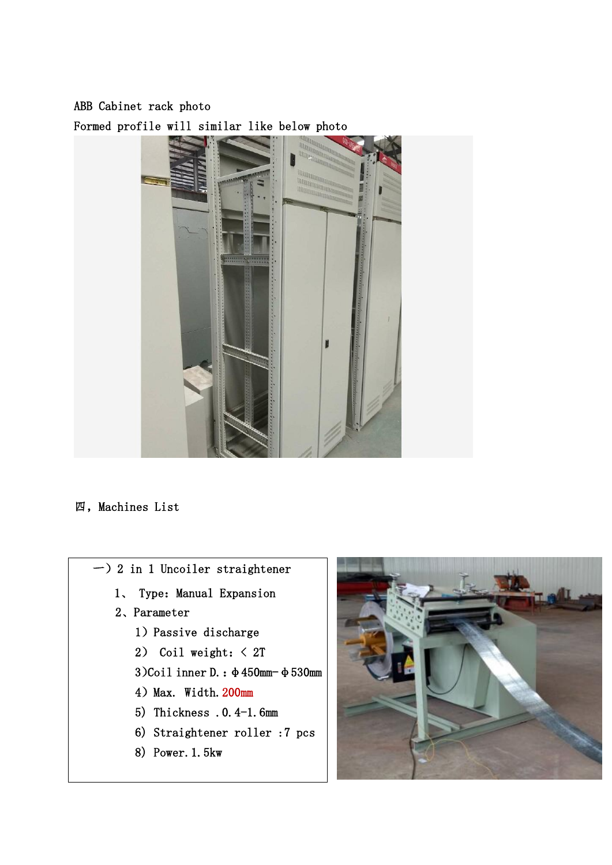ABB Cabinet rack photo Formed profile will similar like below photo



#### 四,Machines List

- 一)2 in 1 Uncoiler straightener
	- 1、 Type: Manual Expansion
	- 2、Parameter
		- 1)Passive discharge
		- 2) Coil weight:< 2T
		- 3)Coil inner D.: φ450mm-φ530mm
		- 4) Max. Width.  $200$ mm
		- 5) Thickness .0.4-1.6mm
		- 6) Straightener roller :7 pcs
		- 8) Power.1.5kw

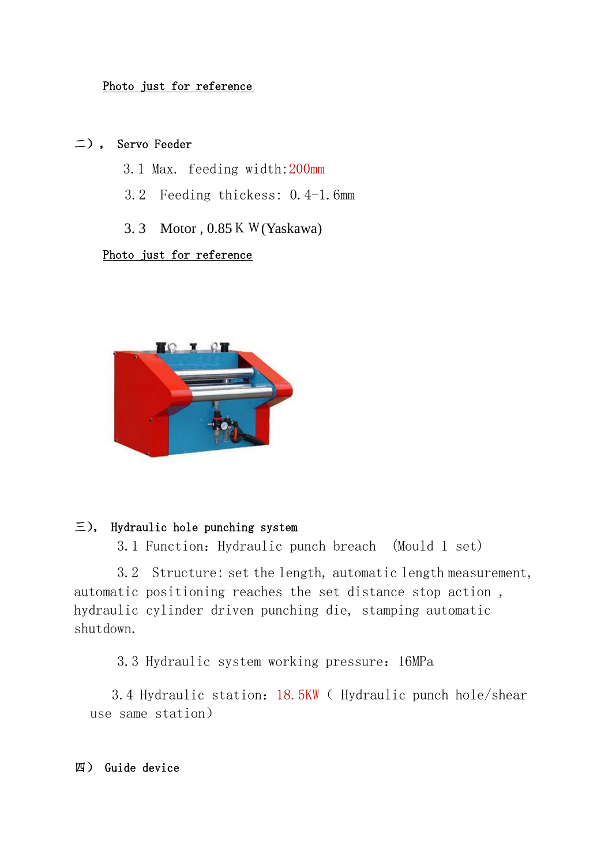#### Photo just for reference

## 二), Servo Feeder

- 3.1 Max. feeding width:200mm
- 3.2 Feeding thickess: 0.4-1.6mm
- 3. 3 Motor , 0.85KW(Yaskawa)

#### Photo just for reference



## 三), Hydraulic hole punching system

3.1 Function:Hydraulic punch breach (Mould 1 set)

3.2 Structure: set the length, automatic length measurement, automatic positioning reaches the set distance stop action , hydraulic cylinder driven punching die, stamping automatic shutdown.

3.3 Hydraulic system working pressure:16MPa

3.4 Hydraulic station:18.5KW( Hydraulic punch hole/shear use same station)

#### 四) Guide device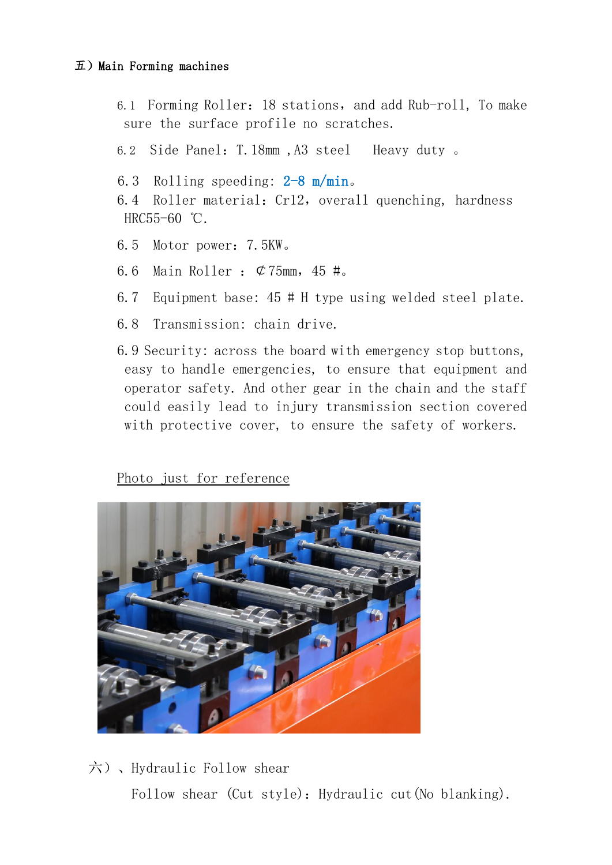## $\overline{\text{1}}$ ) Main Forming machines

- 6.1 Forming Roller: 18 stations, and add Rub-roll, To make sure the surface profile no scratches.
- 6.2 Side Panel:T.18mm ,A3 steel Heavy duty 。
- 6.3 Rolling speeding: 2-8 m/min。
- 6.4 Roller material: Cr12, overall quenching, hardness HRC55-60 ℃.
- 6.5 Motor power:7.5KW。
- 6.6 Main Roller :  $\mathcal{C}75$ mm, 45 #.
- 6.7 Equipment base: 45 # H type using welded steel plate.
- 6.8 Transmission: chain drive.
- 6.9 Security: across the board with emergency stop buttons, easy to handle emergencies, to ensure that equipment and operator safety. And other gear in the chain and the staff could easily lead to injury transmission section covered with protective cover, to ensure the safety of workers.

Photo just for reference



 六)、Hydraulic Follow shear Follow shear (Cut style): Hydraulic cut(No blanking).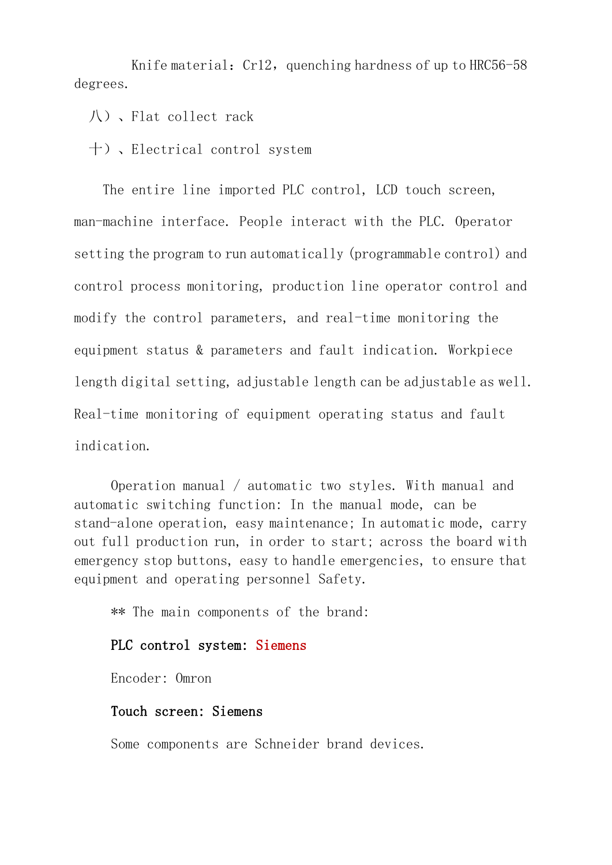Knife material:  $Cr12$ , quenching hardness of up to HRC56-58 degrees.

八)、Flat collect rack

十)、Electrical control system

The entire line imported PLC control, LCD touch screen, man-machine interface. People interact with the PLC. Operator setting the program to run automatically (programmable control) and control process monitoring, production line operator control and modify the control parameters, and real-time monitoring the equipment status & parameters and fault indication. Workpiece length digital setting, adjustable length can be adjustable as well. Real-time monitoring of equipment operating status and fault indication.

Operation manual / automatic two styles. With manual and automatic switching function: In the manual mode, can be stand-alone operation, easy maintenance; In automatic mode, carry out full production run, in order to start; across the board with emergency stop buttons, easy to handle emergencies, to ensure that equipment and operating personnel Safety.

\*\* The main components of the brand:

#### PLC control system: Siemens

Encoder: Omron

#### Touch screen: Siemens

Some components are Schneider brand devices.